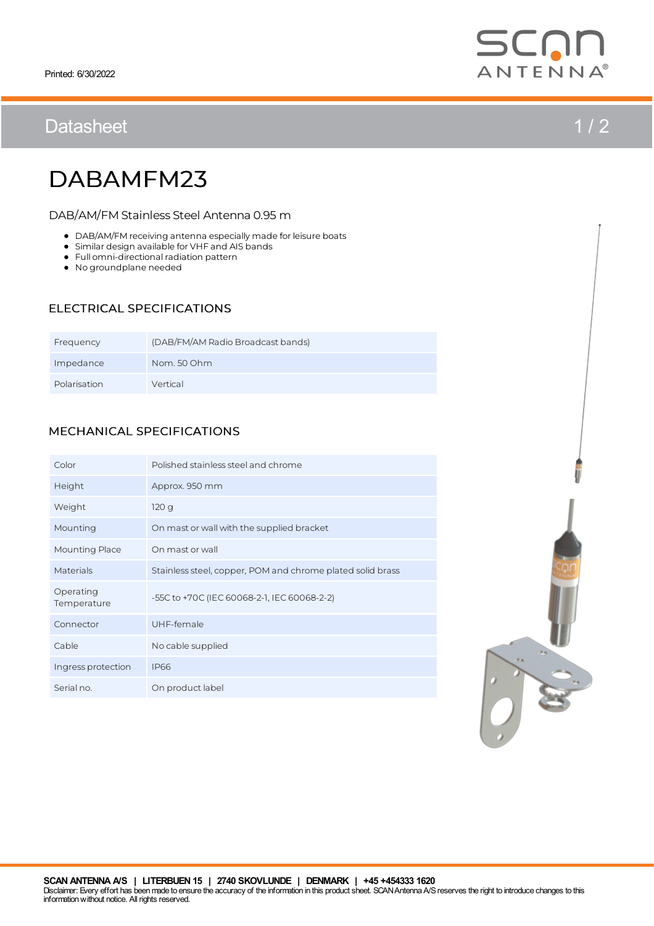## Datasheet 1/2



# DABAMFM23

DAB/AM/FM Stainless Steel Antenna 0.95 m

- $\bullet$  DAB/AM/FM receiving antenna especially made for leisure boats
- Similar design available for VHF and AIS bands
- $\bullet$  Full omni-directional radiation pattern
- No groundplane needed

### ELECTRICAL SPECIFICATIONS

| Frequency    | (DAB/FM/AM Radio Broadcast bands) |
|--------------|-----------------------------------|
| Impedance    | Nom. 50 Ohm                       |
| Polarisation | Vertical                          |

### MECHANICAL SPECIFICATIONS

| Color                    | Polished stainless steel and chrome                        |
|--------------------------|------------------------------------------------------------|
| Height                   | Approx. 950 mm                                             |
| Weight                   | 120 <sub>q</sub>                                           |
| Mounting                 | On mast or wall with the supplied bracket                  |
| Mounting Place           | On mast or wall                                            |
| Materials                | Stainless steel, copper, POM and chrome plated solid brass |
| Operating<br>Temperature | -55C to +70C (IEC 60068-2-1, IEC 60068-2-2)                |
| Connector                | UHF-female                                                 |
| Cable                    | No cable supplied                                          |
| Ingress protection       | <b>IP66</b>                                                |
| Serial no.               | On product label                                           |